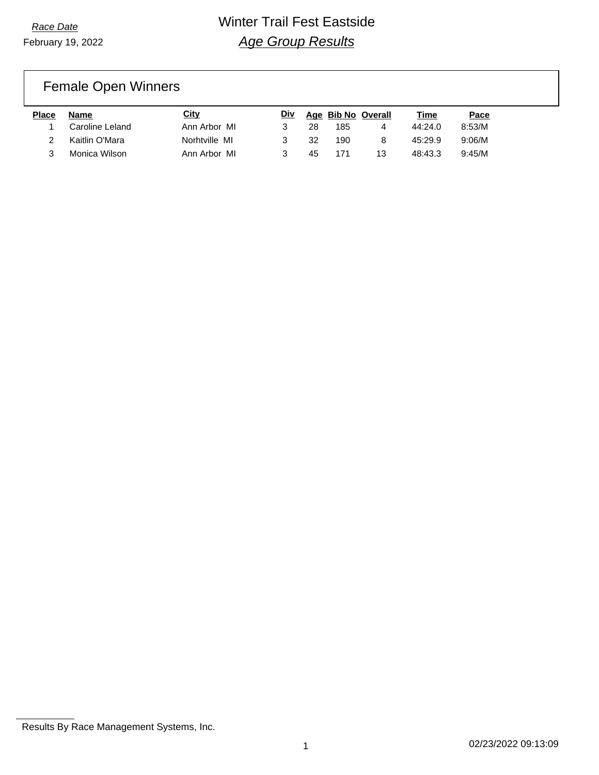### Female Open Winners

| <b>Place</b> | Name            | City          | <u>Div</u> |    |     | Age Bib No Overall | Time    | Pace   |
|--------------|-----------------|---------------|------------|----|-----|--------------------|---------|--------|
|              | Caroline Leland | Ann Arbor MI  |            | 28 | 185 | 4                  | 44:24.0 | 8:53/M |
|              | Kaitlin O'Mara  | Norhtville MI |            | 32 | 190 | 8                  | 45:29.9 | 9:06/M |
|              | Monica Wilson   | Ann Arbor MI  |            | 45 | 171 | 13                 | 48:43.3 | 9:45/M |

Results By Race Management Systems, Inc.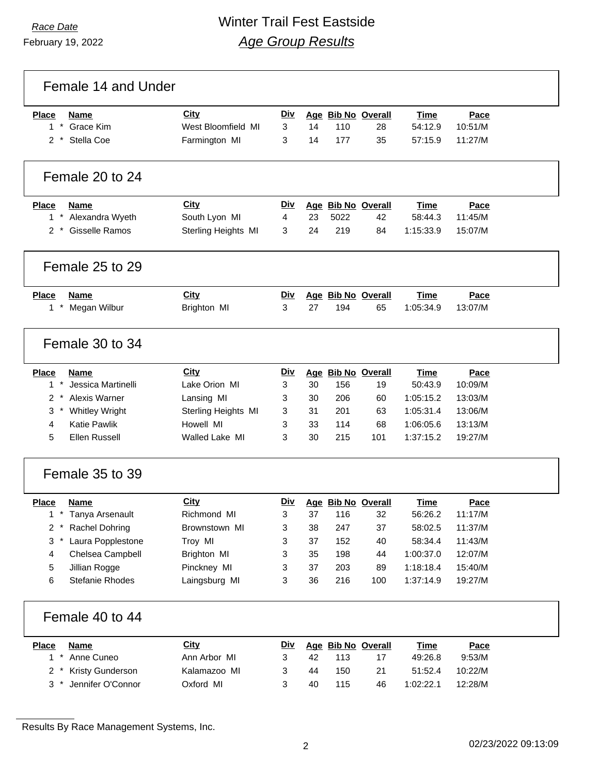### *Race Date* Winter Trail Fest Eastside *Age Group Results*

Female 14 and Under **Place Name City Div Age Bib No Overall Time Pace** \* Grace Kim West Bloomfield MI 3 14 110 28 54:12.9 10:51/M \* Stella Coe Farmington MI 3 14 177 35 57:15.9 11:27/M Female 20 to 24 **Place Name City Div Age Bib No Overall Time Pace** \* Alexandra Wyeth South Lyon MI 4 23 5022 42 58:44.3 11:45/M \* Gisselle Ramos Sterling Heights MI 3 24 219 84 1:15:33.9 15:07/M Female 25 to 29 **Place Name City Div Age Bib No Overall Time Pace** \* Megan Wilbur Brighton MI 3 27 194 65 1:05:34.9 13:07/M Female 30 to 34 **Place Name City Div Age Bib No Overall Time Pace** \* Jessica Martinelli Lake Orion MI 3 30 156 19 50:43.9 10:09/M \* Alexis Warner Lansing MI 3 30 206 60 1:05:15.2 13:03/M \* Whitley Wright Sterling Heights MI 3 31 201 63 1:05:31.4 13:06/M Katie Pawlik Howell MI 3 33 114 68 1:06:05.6 13:13/M Ellen Russell Walled Lake MI 3 30 215 101 1:37:15.2 19:27/M Female 35 to 39 **Place Name City Div Age Bib No Overall Time Pace** \* Tanya Arsenault Richmond MI 3 37 116 32 56:26.2 11:17/M \* Rachel Dohring Brownstown MI 3 38 247 37 58:02.5 11:37/M \* Laura Popplestone Troy MI 3 37 152 40 58:34.4 11:43/M Chelsea Campbell Brighton MI 3 35 198 44 1:00:37.0 12:07/M Jillian Rogge Pinckney MI 3 37 203 89 1:18:18.4 15:40/M Stefanie Rhodes Laingsburg MI 3 36 216 100 1:37:14.9 19:27/M Female 40 to 44 **Place Name City Div Age Bib No Overall Time Pace** \* Anne Cuneo Ann Arbor MI 3 42 113 17 49:26.8 9:53/M \* Kristy Gunderson Kalamazoo MI 3 44 150 21 51:52.4 10:22/M \* Jennifer O'Connor Oxford MI 3 40 115 46 1:02:22.1 12:28/M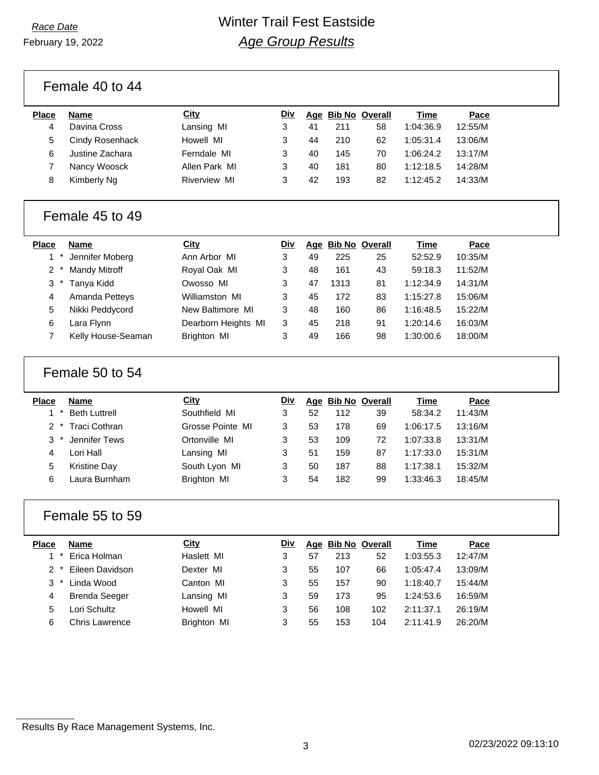February 19, 2022

Female 40 to 44

| Place | <b>Name</b>     | City                | Div |    |     | Age Bib No Overall | Time      | Pace    |
|-------|-----------------|---------------------|-----|----|-----|--------------------|-----------|---------|
| 4     | Davina Cross    | Lansing MI          | 3   | 41 | 211 | 58                 | 1:04:36.9 | 12:55/M |
| 5     | Cindy Rosenhack | Howell MI           | 3   | 44 | 210 | 62                 | 1:05:31.4 | 13:06/M |
| 6     | Justine Zachara | Ferndale MI         |     | 40 | 145 | 70                 | 1:06:24.2 | 13:17/M |
|       | Nancy Woosck    | Allen Park MI       | 3   | 40 | 181 | 80                 | 1:12:18.5 | 14:28/M |
|       | Kimberly Ng     | <b>Riverview MI</b> |     | 42 | 193 | 82                 | 1:12:45.2 | 14:33/M |
|       |                 |                     |     |    |     |                    |           |         |

#### Female 45 to 49

| Place |        | <b>Name</b>           | City                | Div |    | Age Bib No Overall |    | <b>Time</b> | Pace    |
|-------|--------|-----------------------|---------------------|-----|----|--------------------|----|-------------|---------|
|       |        | Jennifer Moberg       | Ann Arbor MI        | 3   | 49 | 225                | 25 | 52:52.9     | 10:35/M |
| $2^*$ |        | <b>Mandy Mitroff</b>  | Royal Oak MI        | 3   | 48 | 161                | 43 | 59:18.3     | 11:52/M |
| 3     | $\ast$ | Tanya Kidd            | Owosso MI           | 3   | 47 | 1313               | 81 | 1:12:34.9   | 14:31/M |
| 4     |        | <b>Amanda Petteys</b> | Williamston MI      | 3   | 45 | 172                | 83 | 1:15:27.8   | 15:06/M |
| 5     |        | Nikki Peddycord       | New Baltimore MI    | 3   | 48 | 160                | 86 | 1:16:48.5   | 15:22/M |
| 6     |        | Lara Flynn            | Dearborn Heights MI | 3   | 45 | 218                | 91 | 1:20:14.6   | 16:03/M |
|       |        | Kelly House-Seaman    | <b>Brighton MI</b>  | 3   | 49 | 166                | 98 | 1:30:00.6   | 18:00/M |

#### Female 50 to 54

| <b>Place</b> | Name                 | City             | <u>Div</u> |    | Age Bib No Overall |    | Time      | Pace    |
|--------------|----------------------|------------------|------------|----|--------------------|----|-----------|---------|
| $\star$      | <b>Beth Luttrell</b> | Southfield MI    | 3          | 52 | 112                | 39 | 58:34.2   | 11:43/M |
|              | 2 * Traci Cothran    | Grosse Pointe MI | 3          | 53 | 178                | 69 | 1:06:17.5 | 13:16/M |
|              | 3 * Jennifer Tews    | Ortonville MI    | 3          | 53 | 109                | 72 | 1:07:33.8 | 13:31/M |
|              | Lori Hall            | Lansing MI       | 3          | 51 | 159                | 87 | 1:17:33.0 | 15:31/M |
| 5            | <b>Kristine Day</b>  | South Lyon MI    | 3          | 50 | 187                | 88 | 1:17:38.1 | 15:32/M |
| 6            | Laura Burnham        | Brighton MI      | 3          | 54 | 182                | 99 | 1:33:46.3 | 18:45/M |

#### Female 55 to 59

| <b>Place</b> | Name                 | City        | Div |    | Age Bib No Overall |     | Time      | Pace    |
|--------------|----------------------|-------------|-----|----|--------------------|-----|-----------|---------|
| $\star$      | Erica Holman         | Haslett MI  | 3   | 57 | 213                | 52  | 1:03:55.3 | 12:47/M |
|              | Eileen Davidson      | Dexter MI   | 3   | 55 | 107                | 66  | 1:05:47.4 | 13:09/M |
| $3^*$        | Linda Wood           | Canton MI   | 3   | 55 | 157                | 90  | 1:18:40.7 | 15:44/M |
| 4            | <b>Brenda Seeger</b> | Lansing MI  | 3   | 59 | 173                | 95  | 1:24:53.6 | 16:59/M |
| 5            | Lori Schultz         | Howell MI   | 3   | 56 | 108                | 102 | 2:11:37.1 | 26:19/M |
| 6            | Chris Lawrence       | Brighton MI | 3   | 55 | 153                | 104 | 2:11:41.9 | 26:20/M |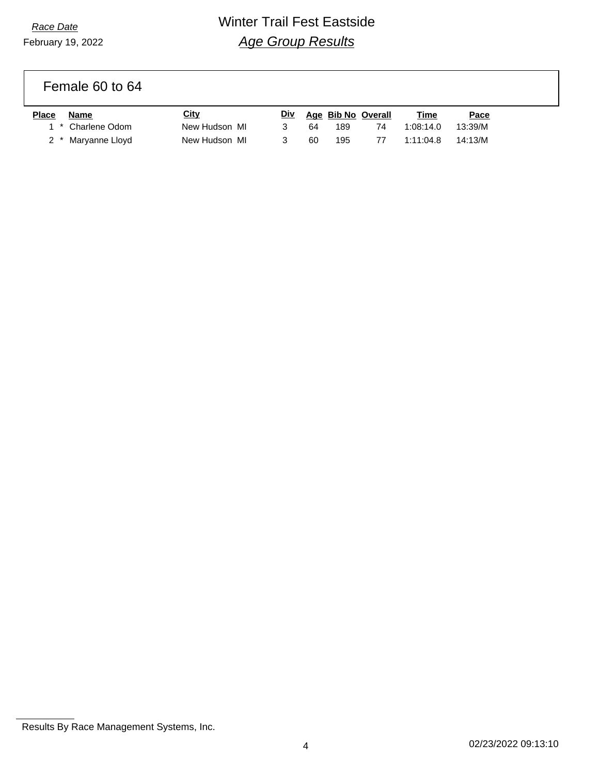## *Race Date* Winter Trail Fest Eastside *Age Group Results*

Female 60 to 64

| Place | Name               | City          | <b>Div</b> |     | Age Bib No Overall | Time      | Pace    |
|-------|--------------------|---------------|------------|-----|--------------------|-----------|---------|
|       | 1 * Charlene Odom  | New Hudson MI |            | 64. | 189                | 1:08:14.0 | 13:39/M |
|       | 2 * Maryanne Lloyd | New Hudson MI |            | 60  | 195                | 1:11:04.8 | 14:13/M |

Results By Race Management Systems, Inc.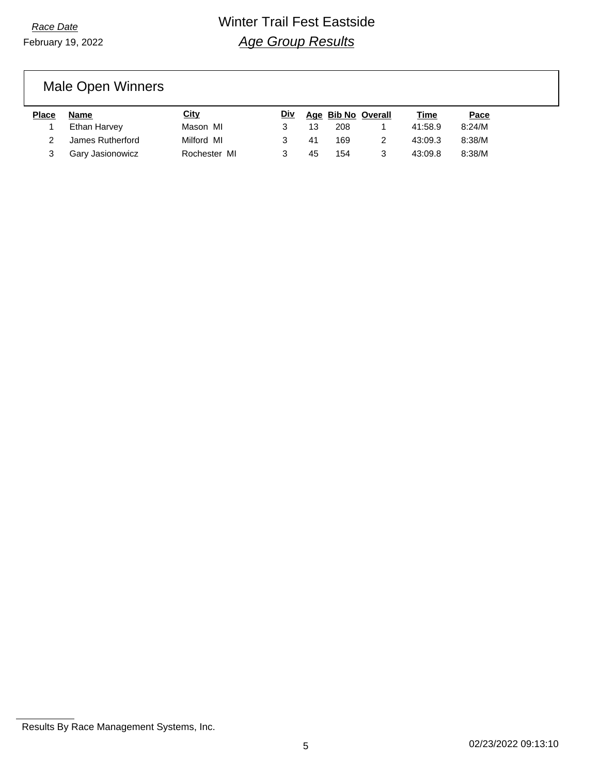# Male Open Winners

| <b>Place</b> | Name             | <u>City</u>  | <b>Div</b> |    | Age Bib No Overall | Time    | Pace   |
|--------------|------------------|--------------|------------|----|--------------------|---------|--------|
|              | Ethan Harvey     | Mason MI     |            | 13 | 208                | 41:58.9 | 8:24/M |
|              | James Rutherford | Milford MI   |            | 41 | 169                | 43:09.3 | 8:38/M |
|              | Gary Jasionowicz | Rochester MI |            | 45 | 154                | 43:09.8 | 8:38/M |

Results By Race Management Systems, Inc.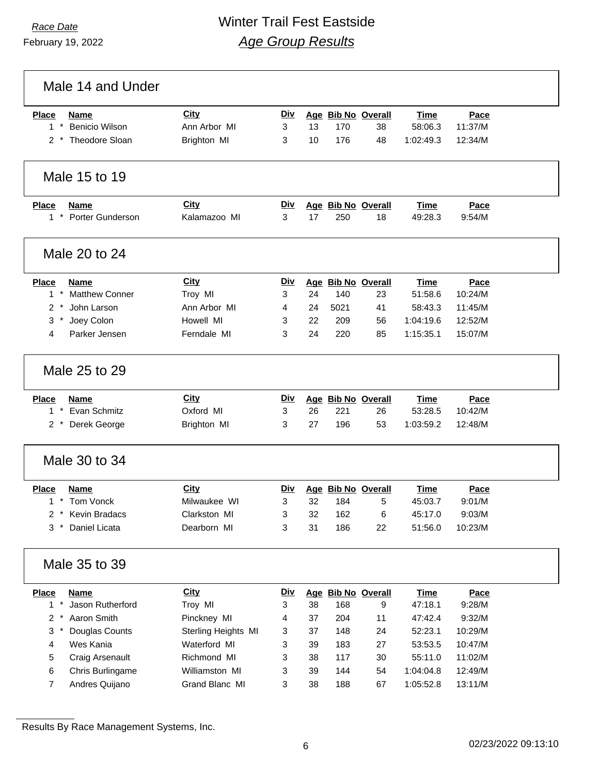# *Race Date* Winter Trail Fest Eastside *Age Group Results*

|               | Male 14 and Under                   |                      |                 |    |      |                          |                 |                |  |
|---------------|-------------------------------------|----------------------|-----------------|----|------|--------------------------|-----------------|----------------|--|
| <b>Place</b>  | <b>Name</b>                         | City                 | <u>Div</u>      |    |      | Age Bib No Overall       | <b>Time</b>     | Pace           |  |
| $1 *$         | <b>Benicio Wilson</b>               | Ann Arbor MI         | 3               | 13 | 170  | 38                       | 58:06.3         | 11:37/M        |  |
| $2^*$         | Theodore Sloan                      | Brighton MI          | 3               | 10 | 176  | 48                       | 1:02:49.3       | 12:34/M        |  |
|               | Male 15 to 19                       |                      |                 |    |      |                          |                 |                |  |
| <b>Place</b>  | <b>Name</b><br>1 * Porter Gunderson | City<br>Kalamazoo MI | <u>Div</u><br>3 | 17 | 250  | Age Bib No Overall<br>18 | Time<br>49:28.3 | Pace<br>9:54/M |  |
|               | Male 20 to 24                       |                      |                 |    |      |                          |                 |                |  |
| <b>Place</b>  | <b>Name</b>                         | City                 | <b>Div</b>      |    |      | Age Bib No Overall       | <b>Time</b>     | Pace           |  |
| $1 *$         | <b>Matthew Conner</b>               | Troy MI              | 3               | 24 | 140  | 23                       | 51:58.6         | 10:24/M        |  |
| $2 *$         | John Larson                         | Ann Arbor MI         | 4               | 24 | 5021 | 41                       | 58:43.3         | 11:45/M        |  |
| 3<br>$^\star$ | Joey Colon                          | Howell MI            | 3               | 22 | 209  | 56                       | 1:04:19.6       | 12:52/M        |  |
| 4             | Parker Jensen                       | Ferndale MI          | 3               | 24 | 220  | 85                       | 1:15:35.1       | 15:07/M        |  |
|               | Male 25 to 29                       |                      |                 |    |      |                          |                 |                |  |
| <b>Place</b>  | Name                                | <b>City</b>          | Div             |    |      | Age Bib No Overall       | <b>Time</b>     | Pace           |  |
| $1 *$         | Evan Schmitz                        | Oxford MI            | 3               | 26 | 221  | 26                       | 53:28.5         | 10:42/M        |  |
| $2^*$         | Derek George                        | Brighton MI          | 3               | 27 | 196  | 53                       | 1:03:59.2       | 12:48/M        |  |
|               | Male 30 to 34                       |                      |                 |    |      |                          |                 |                |  |
| <b>Place</b>  | <b>Name</b>                         | <b>City</b>          | <b>Div</b>      |    |      | Age Bib No Overall       | Time            | Pace           |  |
| $1 *$         | Tom Vonck                           | Milwaukee WI         | 3               | 32 | 184  | 5                        | 45:03.7         | 9:01/M         |  |
| 2             | Kevin Bradacs                       | Clarkston MI         | 3               | 32 | 162  | 6                        | 45:17.0         | 9:03/M         |  |
| $^\star$<br>3 | Daniel Licata                       | Dearborn MI          | 3               | 31 | 186  | 22                       | 51:56.0         | 10:23/M        |  |
|               | Male 35 to 39                       |                      |                 |    |      |                          |                 |                |  |
| <b>Place</b>  | <b>Name</b>                         | City                 | <u>Div</u>      |    |      | Age Bib No Overall       | <b>Time</b>     | Pace           |  |
| $1 *$         | Jason Rutherford                    | Troy MI              | 3               | 38 | 168  | 9                        | 47:18.1         | 9:28/M         |  |
| $2^*$         | Aaron Smith                         | Pinckney MI          | 4               | 37 | 204  | 11                       | 47:42.4         | 9:32/M         |  |
| $3 *$         | Douglas Counts                      | Sterling Heights MI  | 3               | 37 | 148  | 24                       | 52:23.1         | 10:29/M        |  |
| 4             | Wes Kania                           | Waterford MI         | 3               | 39 | 183  | 27                       | 53:53.5         | 10:47/M        |  |
| 5             | Craig Arsenault                     | Richmond MI          | 3               | 38 | 117  | 30                       | 55:11.0         | 11:02/M        |  |
| 6             | Chris Burlingame                    | Williamston MI       | 3               | 39 | 144  | 54                       | 1:04:04.8       | 12:49/M        |  |
| 7             | Andres Quijano                      | Grand Blanc MI       | 3               | 38 | 188  | 67                       | 1:05:52.8       | 13:11/M        |  |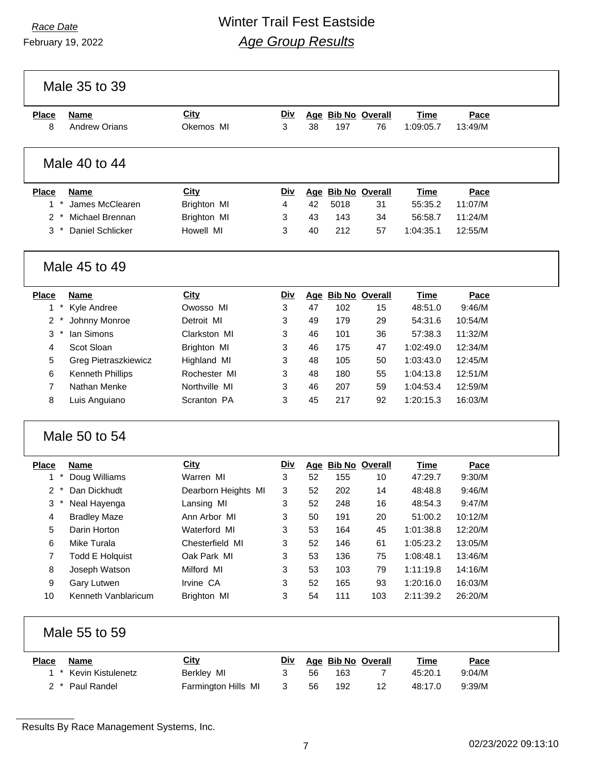### *Race Date* Winter Trail Fest Eastside *Age Group Results*

Male 35 to 39

| <b>Place</b>  | Name                 | <b>City</b> | <b>Div</b> |            |      | Age Bib No Overall    | <b>Time</b> | Pace    |
|---------------|----------------------|-------------|------------|------------|------|-----------------------|-------------|---------|
| 8             | <b>Andrew Orians</b> | Okemos MI   | 3          | 38         | 197  | 76                    | 1:09:05.7   | 13:49/M |
|               | Male 40 to 44        |             |            |            |      |                       |             |         |
| <b>Place</b>  | <b>Name</b>          | City        | <u>Div</u> | <u>Age</u> |      | <b>Bib No Overall</b> | <b>Time</b> | Pace    |
| 1             | James McClearen      | Brighton MI | 4          | 42         | 5018 | 31                    | 55:35.2     | 11:07/M |
| $\mathcal{P}$ | Michael Brennan      | Brighton MI | 3          | 43         | 143  | 34                    | 56:58.7     | 11:24/M |
| 3             | Daniel Schlicker     | Howell MI   | 3          | 40         | 212  | 57                    | 1:04:35.1   | 12:55/M |
|               | Male 45 to 49        |             |            |            |      |                       |             |         |
| <b>Place</b>  | Name                 | City        | Div        |            |      | Age Bib No Overall    | Time        | Pace    |
|               | Kyle Andree          | Owosso MI   | 3          | 47         | 102  | 15                    | 48:51.0     | 9:46/M  |

|       | 1 F Kyle Andree             | UWOSSO MII    |   | 47 | 10Z | 15 | 48.51.0   | 9:46/M  |
|-------|-----------------------------|---------------|---|----|-----|----|-----------|---------|
| $2^*$ | Johnny Monroe               | Detroit MI    | 3 | 49 | 179 | 29 | 54:31.6   | 10:54/M |
| $3*$  | lan Simons                  | Clarkston MI  | 3 | 46 | 101 | 36 | 57:38.3   | 11:32/M |
| 4     | Scot Sloan                  | Brighton MI   | 3 | 46 | 175 | 47 | 1:02:49.0 | 12:34/M |
| 5     | <b>Greg Pietraszkiewicz</b> | Highland MI   | 3 | 48 | 105 | 50 | 1:03:43.0 | 12:45/M |
| 6     | <b>Kenneth Phillips</b>     | Rochester MI  | 3 | 48 | 180 | 55 | 1:04:13.8 | 12:51/M |
|       | Nathan Menke                | Northville MI | 3 | 46 | 207 | 59 | 1:04:53.4 | 12:59/M |
| 8     | Luis Anguiano               | Scranton PA   | 3 | 45 | 217 | 92 | 1:20:15.3 | 16:03/M |
|       |                             |               |   |    |     |    |           |         |

#### Male 50 to 54

| Place         | <b>Name</b>         | City                | Div |    | Age Bib No Overall |     | Time      | Pace    |
|---------------|---------------------|---------------------|-----|----|--------------------|-----|-----------|---------|
|               | Doug Williams       | Warren MI           | 3   | 52 | 155                | 10  | 47:29.7   | 9:30/M  |
| $\mathcal{P}$ | Dan Dickhudt        | Dearborn Heights MI | 3   | 52 | 202                | 14  | 48:48.8   | 9:46/M  |
| 3             | Neal Hayenga        | Lansing MI          | 3   | 52 | 248                | 16  | 48:54.3   | 9:47/M  |
| 4             | <b>Bradley Maze</b> | Ann Arbor MI        | 3   | 50 | 191                | 20  | 51:00.2   | 10:12/M |
| 5             | Darin Horton        | Waterford MI        | 3   | 53 | 164                | 45  | 1:01:38.8 | 12:20/M |
| 6             | Mike Turala         | Chesterfield MI     | 3   | 52 | 146                | 61  | 1:05:23.2 | 13:05/M |
| 7             | Todd E Holguist     | Oak Park MI         | 3   | 53 | 136                | 75  | 1:08:48.1 | 13:46/M |
| 8             | Joseph Watson       | Milford MI          | 3   | 53 | 103                | 79  | 1:11:19.8 | 14:16/M |
| 9             | Gary Lutwen         | Irvine CA           | 3   | 52 | 165                | 93  | 1:20:16.0 | 16:03/M |
| 10            | Kenneth Vanblaricum | Brighton MI         | 3   | 54 | 111                | 103 | 2:11:39.2 | 26:20/M |
|               |                     |                     |     |    |                    |     |           |         |

| Male 55 to 59 |  |  |  |
|---------------|--|--|--|
|---------------|--|--|--|

| Place | Name                  | <u>City</u>         | <u>Div</u> |    | Age Bib No Overall |    | Time    | <b>Pace</b> |
|-------|-----------------------|---------------------|------------|----|--------------------|----|---------|-------------|
|       | 1 * Kevin Kistulenetz | Berkley MI          |            | 56 | 163                |    | 45:20.1 | 9:04/M      |
|       | 2 * Paul Randel       | Farmington Hills MI |            | 56 | 192                | 12 | 48:17.0 | 9:39/M      |